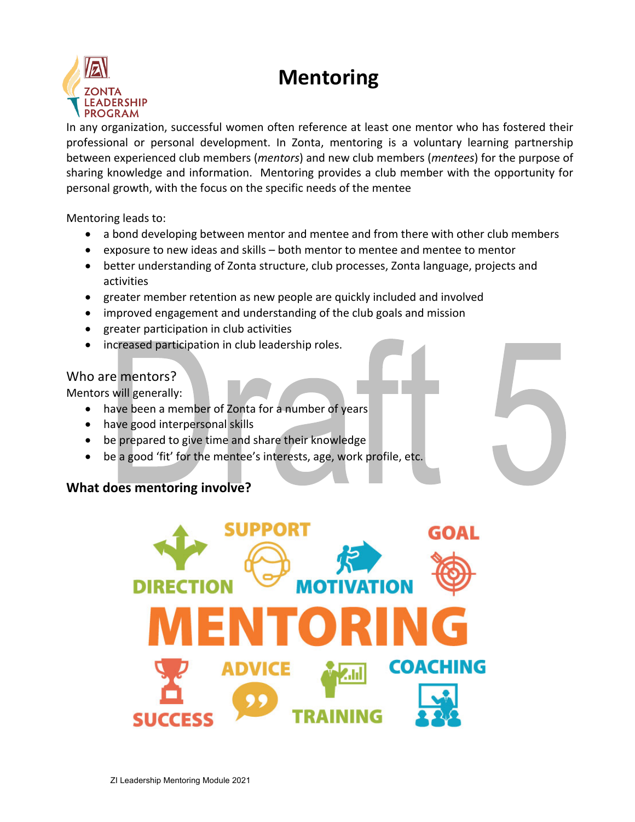# **Mentoring**



In any organization, successful women often reference at least one mentor who has fostered their professional or personal development. In Zonta, mentoring is a voluntary learning partnership between experienced club members (*mentors*) and new club members (*mentees*) for the purpose of sharing knowledge and information. Mentoring provides a club member with the opportunity for personal growth, with the focus on the specific needs of the mentee

Mentoring leads to:

- a bond developing between mentor and mentee and from there with other club members
- exposure to new ideas and skills both mentor to mentee and mentee to mentor
- better understanding of Zonta structure, club processes, Zonta language, projects and activities
- greater member retention as new people are quickly included and involved
- improved engagement and understanding of the club goals and mission
- greater participation in club activities
- increased participation in club leadership roles.

## Who are mentors?

Mentors will generally:

- have been a member of Zonta for a number of years
- have good interpersonal skills
- be prepared to give time and share their knowledge
- be a good 'fit' for the mentee's interests, age, work profile, etc.

## **What does mentoring involve?**

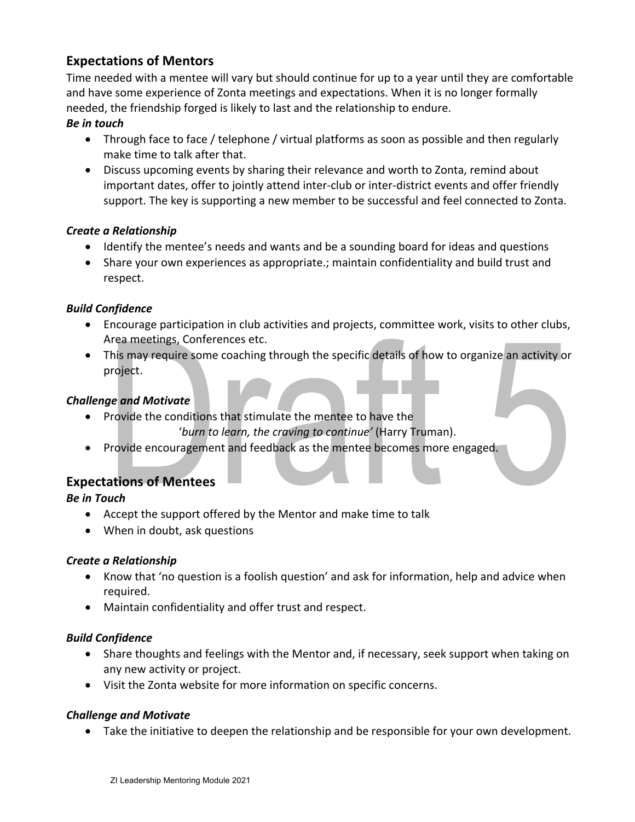# **Expectations of Mentors**

Time needed with a mentee will vary but should continue for up to a year until they are comfortable and have some experience of Zonta meetings and expectations. When it is no longer formally needed, the friendship forged is likely to last and the relationship to endure.

#### *Be in touch*

- Through face to face / telephone / virtual platforms as soon as possible and then regularly make time to talk after that.
- Discuss upcoming events by sharing their relevance and worth to Zonta, remind about important dates, offer to jointly attend inter-club or inter-district events and offer friendly support. The key is supporting a new member to be successful and feel connected to Zonta.

#### *Create a Relationship*

- Identify the mentee's needs and wants and be a sounding board for ideas and questions
- Share your own experiences as appropriate.; maintain confidentiality and build trust and respect.

#### *Build Confidence*

- Encourage participation in club activities and projects, committee work, visits to other clubs, Area meetings, Conferences etc.
- This may require some coaching through the specific details of how to organize an activity or project.

#### *Challenge and Motivate*

• Provide the conditions that stimulate the mentee to have the

'*burn to learn, the craving to continue'* (Harry Truman).

• Provide encouragement and feedback as the mentee becomes more engaged.

## **Expectations of Mentees**

#### *Be in Touch*

- Accept the support offered by the Mentor and make time to talk
- When in doubt, ask questions

#### *Create a Relationship*

- Know that 'no question is a foolish question' and ask for information, help and advice when required.
- Maintain confidentiality and offer trust and respect.

#### *Build Confidence*

- Share thoughts and feelings with the Mentor and, if necessary, seek support when taking on any new activity or project.
- Visit the Zonta website for more information on specific concerns.

## *Challenge and Motivate*

• Take the initiative to deepen the relationship and be responsible for your own development.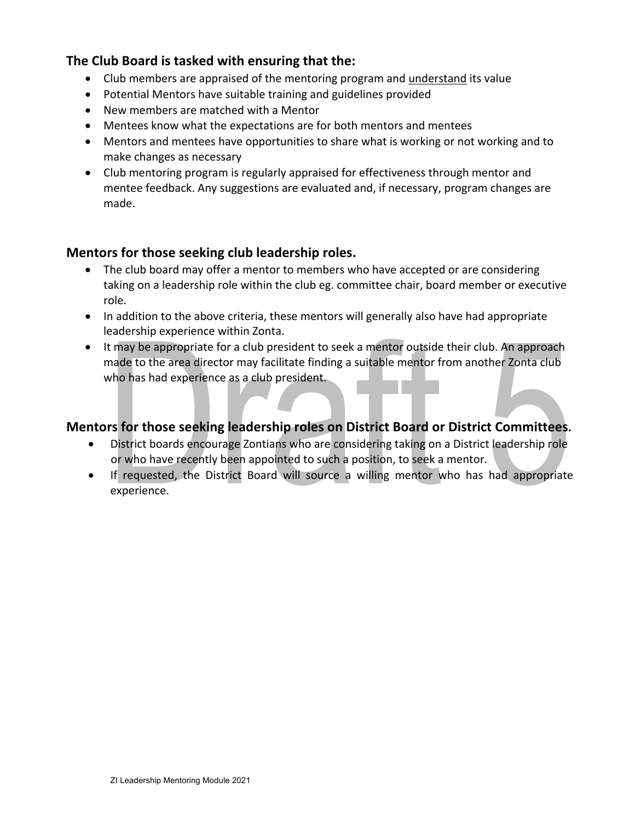# **The Club Board is tasked with ensuring that the:**

- Club members are appraised of the mentoring program and understand its value
- Potential Mentors have suitable training and guidelines provided
- New members are matched with a Mentor
- Mentees know what the expectations are for both mentors and mentees
- Mentors and mentees have opportunities to share what is working or not working and to make changes as necessary
- Club mentoring program is regularly appraised for effectiveness through mentor and mentee feedback. Any suggestions are evaluated and, if necessary, program changes are made.

# **Mentors for those seeking club leadership roles.**

- The club board may offer a mentor to members who have accepted or are considering taking on a leadership role within the club eg. committee chair, board member or executive role.
- In addition to the above criteria, these mentors will generally also have had appropriate leadership experience within Zonta.
- It may be appropriate for a club president to seek a mentor outside their club. An approach made to the area director may facilitate finding a suitable mentor from another Zonta club who has had experience as a club president.

## **Mentors for those seeking leadership roles on District Board or District Committees.**

- District boards encourage Zontians who are considering taking on a District leadership role or who have recently been appointed to such a position, to seek a mentor.
- If requested, the District Board will source a willing mentor who has had appropriate experience.